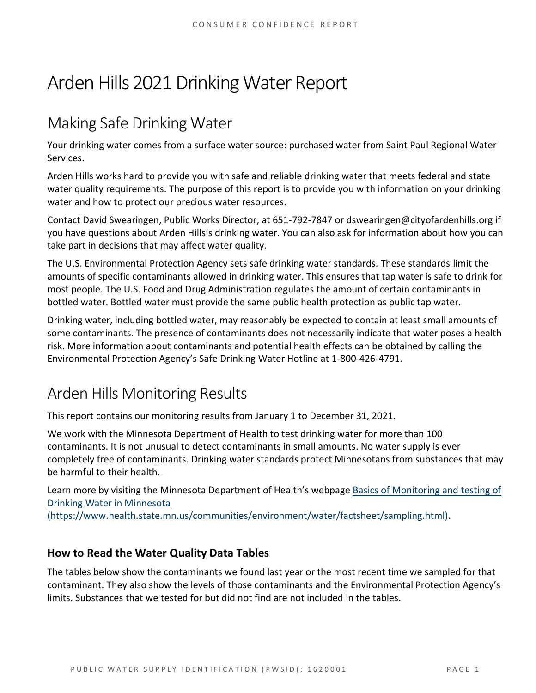# Arden Hills 2021 Drinking Water Report

## Making Safe Drinking Water

Your drinking water comes from a surface water source: purchased water from Saint Paul Regional Water Services.

Arden Hills works hard to provide you with safe and reliable drinking water that meets federal and state water quality requirements. The purpose of this report is to provide you with information on your drinking water and how to protect our precious water resources.

Contact David Swearingen, Public Works Director, at 651-792-7847 or dswearingen@cityofardenhills.org if you have questions about Arden Hills's drinking water. You can also ask for information about how you can take part in decisions that may affect water quality.

The U.S. Environmental Protection Agency sets safe drinking water standards. These standards limit the amounts of specific contaminants allowed in drinking water. This ensures that tap water is safe to drink for most people. The U.S. Food and Drug Administration regulates the amount of certain contaminants in bottled water. Bottled water must provide the same public health protection as public tap water.

Drinking water, including bottled water, may reasonably be expected to contain at least small amounts of some contaminants. The presence of contaminants does not necessarily indicate that water poses a health risk. More information about contaminants and potential health effects can be obtained by calling the Environmental Protection Agency's Safe Drinking Water Hotline at 1-800-426-4791.

### Arden Hills Monitoring Results

This report contains our monitoring results from January 1 to December 31, 2021.

We work with the Minnesota Department of Health to test drinking water for more than 100 contaminants. It is not unusual to detect contaminants in small amounts. No water supply is ever completely free of contaminants. Drinking water standards protect Minnesotans from substances that may be harmful to their health.

Learn more by visiting the Minnesota Department of Health's webpage [Basics of Monitoring and testing of](https://www.health.state.mn.us/communities/environment/water/factsheet/sampling.html)  [Drinking Water in Minnesota](https://www.health.state.mn.us/communities/environment/water/factsheet/sampling.html) 

[\(https://www.health.state.mn.us/communities/environment/water/factsheet/sampling.html\).](https://www.health.state.mn.us/communities/environment/water/factsheet/sampling.html)

#### **How to Read the Water Quality Data Tables**

The tables below show the contaminants we found last year or the most recent time we sampled for that contaminant. They also show the levels of those contaminants and the Environmental Protection Agency's limits. Substances that we tested for but did not find are not included in the tables.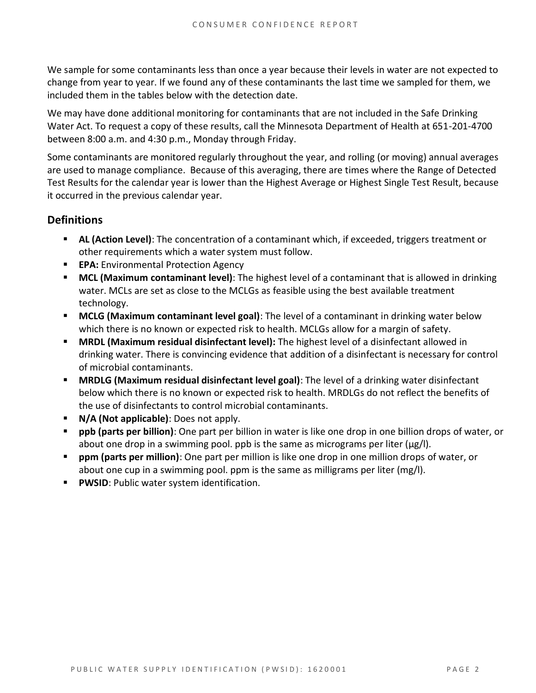We sample for some contaminants less than once a year because their levels in water are not expected to change from year to year. If we found any of these contaminants the last time we sampled for them, we included them in the tables below with the detection date.

We may have done additional monitoring for contaminants that are not included in the Safe Drinking Water Act. To request a copy of these results, call the Minnesota Department of Health at 651-201-4700 between 8:00 a.m. and 4:30 p.m., Monday through Friday.

Some contaminants are monitored regularly throughout the year, and rolling (or moving) annual averages are used to manage compliance. Because of this averaging, there are times where the Range of Detected Test Results for the calendar year is lower than the Highest Average or Highest Single Test Result, because it occurred in the previous calendar year.

#### **Definitions**

- **AL (Action Level)**: The concentration of a contaminant which, if exceeded, triggers treatment or other requirements which a water system must follow.
- **EPA:** Environmental Protection Agency
- **MCL (Maximum contaminant level)**: The highest level of a contaminant that is allowed in drinking water. MCLs are set as close to the MCLGs as feasible using the best available treatment technology.
- **MCLG (Maximum contaminant level goal)**: The level of a contaminant in drinking water below which there is no known or expected risk to health. MCLGs allow for a margin of safety.
- **MRDL (Maximum residual disinfectant level):** The highest level of a disinfectant allowed in drinking water. There is convincing evidence that addition of a disinfectant is necessary for control of microbial contaminants.
- **MRDLG (Maximum residual disinfectant level goal)**: The level of a drinking water disinfectant below which there is no known or expected risk to health. MRDLGs do not reflect the benefits of the use of disinfectants to control microbial contaminants.
- **N/A (Not applicable)**: Does not apply.
- **ppb (parts per billion)**: One part per billion in water is like one drop in one billion drops of water, or about one drop in a swimming pool. ppb is the same as micrograms per liter (μg/l).
- **ppm (parts per million)**: One part per million is like one drop in one million drops of water, or about one cup in a swimming pool. ppm is the same as milligrams per liter (mg/l).
- **PWSID:** Public water system identification.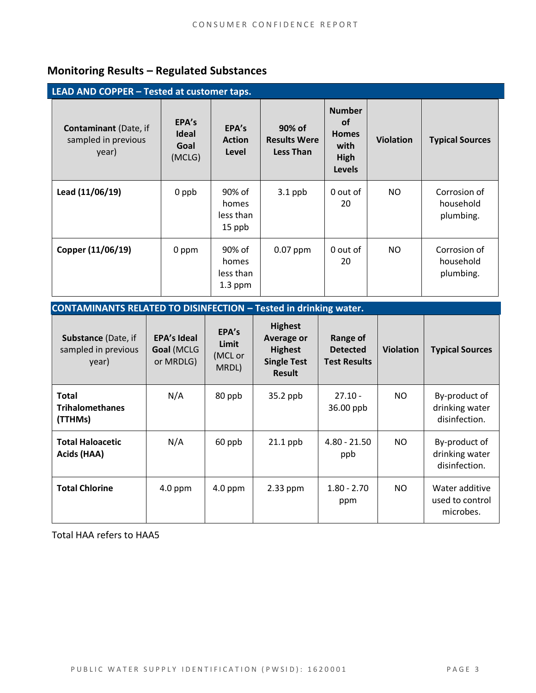### **Monitoring Results – Regulated Substances**

| LEAD AND COPPER - Tested at customer taps.                   |                                         |                                           |                                                   |                                                                             |                  |                                        |  |  |  |  |
|--------------------------------------------------------------|-----------------------------------------|-------------------------------------------|---------------------------------------------------|-----------------------------------------------------------------------------|------------------|----------------------------------------|--|--|--|--|
| <b>Contaminant</b> (Date, if<br>sampled in previous<br>year) | EPA's<br><b>Ideal</b><br>Goal<br>(MCLG) | EPA's<br><b>Action</b><br>Level           | 90% of<br><b>Results Were</b><br><b>Less Than</b> | <b>Number</b><br><b>of</b><br><b>Homes</b><br>with<br>High<br><b>Levels</b> | <b>Violation</b> | <b>Typical Sources</b>                 |  |  |  |  |
| Lead (11/06/19)                                              | 0 ppb                                   | 90% of<br>homes<br>less than<br>15 ppb    | $3.1$ ppb                                         | 0 out of<br>20                                                              | NO.              | Corrosion of<br>household<br>plumbing. |  |  |  |  |
| Copper (11/06/19)                                            | 0 ppm                                   | 90% of<br>homes<br>less than<br>$1.3$ ppm | $0.07$ ppm                                        | 0 out of<br>20                                                              | NO.              | Corrosion of<br>household<br>plumbing. |  |  |  |  |

| <b>CONTAMINANTS RELATED TO DISINFECTION - Tested in drinking water.</b> |                                               |                                    |                                                                                              |                                                    |                  |                                                  |  |  |  |  |
|-------------------------------------------------------------------------|-----------------------------------------------|------------------------------------|----------------------------------------------------------------------------------------------|----------------------------------------------------|------------------|--------------------------------------------------|--|--|--|--|
| <b>Substance (Date, if</b><br>sampled in previous<br>year)              | <b>EPA's Ideal</b><br>Goal (MCLG<br>or MRDLG) | EPA's<br>Limit<br>(MCL or<br>MRDL) | <b>Highest</b><br><b>Average or</b><br><b>Highest</b><br><b>Single Test</b><br><b>Result</b> | Range of<br><b>Detected</b><br><b>Test Results</b> | <b>Violation</b> | <b>Typical Sources</b>                           |  |  |  |  |
| Total<br><b>Trihalomethanes</b><br>(TTHMs)                              | N/A                                           | 80 ppb                             | 35.2 ppb                                                                                     | $27.10 -$<br>36.00 ppb                             | NO.              | By-product of<br>drinking water<br>disinfection. |  |  |  |  |
| <b>Total Haloacetic</b><br>Acids (HAA)                                  | N/A                                           | 60 ppb                             | $21.1$ ppb                                                                                   | $4.80 - 21.50$<br>ppb                              | NO.              | By-product of<br>drinking water<br>disinfection. |  |  |  |  |
| <b>Total Chlorine</b>                                                   | $4.0$ ppm                                     | $4.0$ ppm                          | $2.33$ ppm                                                                                   | $1.80 - 2.70$<br>ppm                               | NO.              | Water additive<br>used to control<br>microbes.   |  |  |  |  |

Total HAA refers to HAA5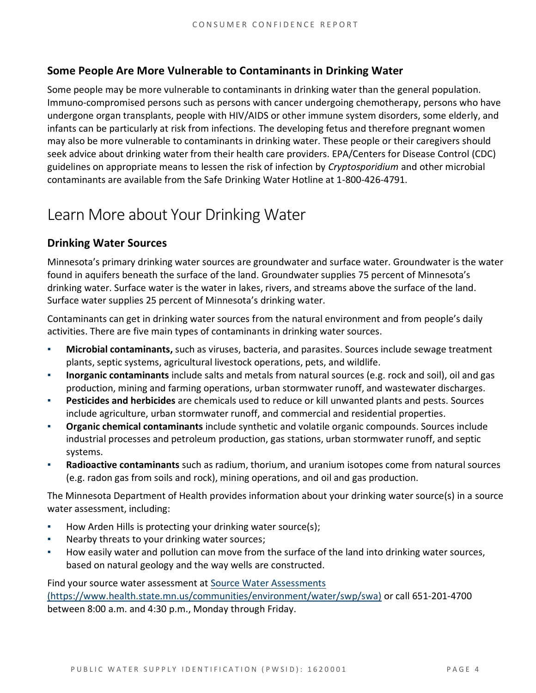#### **Some People Are More Vulnerable to Contaminants in Drinking Water**

Some people may be more vulnerable to contaminants in drinking water than the general population. Immuno-compromised persons such as persons with cancer undergoing chemotherapy, persons who have undergone organ transplants, people with HIV/AIDS or other immune system disorders, some elderly, and infants can be particularly at risk from infections. The developing fetus and therefore pregnant women may also be more vulnerable to contaminants in drinking water. These people or their caregivers should seek advice about drinking water from their health care providers. EPA/Centers for Disease Control (CDC) guidelines on appropriate means to lessen the risk of infection by *Cryptosporidium* and other microbial contaminants are available from the Safe Drinking Water Hotline at 1-800-426-4791.

### Learn More about Your Drinking Water

#### **Drinking Water Sources**

Minnesota's primary drinking water sources are groundwater and surface water. Groundwater is the water found in aquifers beneath the surface of the land. Groundwater supplies 75 percent of Minnesota's drinking water. Surface water is the water in lakes, rivers, and streams above the surface of the land. Surface water supplies 25 percent of Minnesota's drinking water.

Contaminants can get in drinking water sources from the natural environment and from people's daily activities. There are five main types of contaminants in drinking water sources.

- **Microbial contaminants,** such as viruses, bacteria, and parasites. Sources include sewage treatment plants, septic systems, agricultural livestock operations, pets, and wildlife.
- Inorganic contaminants include salts and metals from natural sources (e.g. rock and soil), oil and gas production, mining and farming operations, urban stormwater runoff, and wastewater discharges.
- **Pesticides and herbicides** are chemicals used to reduce or kill unwanted plants and pests. Sources include agriculture, urban stormwater runoff, and commercial and residential properties.
- **Organic chemical contaminants** include synthetic and volatile organic compounds. Sources include industrial processes and petroleum production, gas stations, urban stormwater runoff, and septic systems.
- Radioactive contaminants such as radium, thorium, and uranium isotopes come from natural sources (e.g. radon gas from soils and rock), mining operations, and oil and gas production.

The Minnesota Department of Health provides information about your drinking water source(s) in a source water assessment, including:

- How Arden Hills is protecting your drinking water source(s);
- Nearby threats to your drinking water sources;
- How easily water and pollution can move from the surface of the land into drinking water sources, based on natural geology and the way wells are constructed.

Find your source water assessment at [Source Water Assessments](https://www.health.state.mn.us/communities/environment/water/swp/swa)  [\(https://www.health.state.mn.us/communities/environment/water/swp/swa\)](https://www.health.state.mn.us/communities/environment/water/swp/swa) or call 651-201-4700 between 8:00 a.m. and 4:30 p.m., Monday through Friday.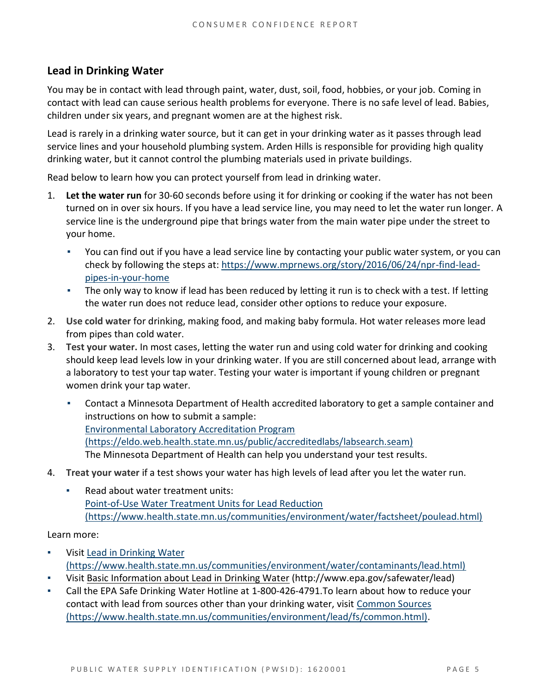#### **Lead in Drinking Water**

You may be in contact with lead through paint, water, dust, soil, food, hobbies, or your job. Coming in contact with lead can cause serious health problems for everyone. There is no safe level of lead. Babies, children under six years, and pregnant women are at the highest risk.

Lead is rarely in a drinking water source, but it can get in your drinking water as it passes through lead service lines and your household plumbing system. Arden Hills is responsible for providing high quality drinking water, but it cannot control the plumbing materials used in private buildings.

Read below to learn how you can protect yourself from lead in drinking water.

- 1. **Let the water run** for 30-60 seconds before using it for drinking or cooking if the water has not been turned on in over six hours. If you have a lead service line, you may need to let the water run longer. A service line is the underground pipe that brings water from the main water pipe under the street to your home.
	- You can find out if you have a lead service line by contacting your public water system, or you can check by following the steps at: [https://www.mprnews.org/story/2016/06/24/npr-find-lead](https://www.mprnews.org/story/2016/06/24/npr-find-lead-pipes-in-your-home)[pipes-in-your-home](https://www.mprnews.org/story/2016/06/24/npr-find-lead-pipes-in-your-home)
	- The only way to know if lead has been reduced by letting it run is to check with a test. If letting the water run does not reduce lead, consider other options to reduce your exposure.
- 2. **Use cold water** for drinking, making food, and making baby formula. Hot water releases more lead from pipes than cold water.
- 3. **Test your water.** In most cases, letting the water run and using cold water for drinking and cooking should keep lead levels low in your drinking water. If you are still concerned about lead, arrange with a laboratory to test your tap water. Testing your water is important if young children or pregnant women drink your tap water.
	- Contact a Minnesota Department of Health accredited laboratory to get a sample container and instructions on how to submit a sample: [Environmental Laboratory Accreditation Program](https://eldo.web.health.state.mn.us/public/accreditedlabs/labsearch.seam)  [\(https://eldo.web.health.state.mn.us/public/accreditedlabs/labsearch.seam\)](https://eldo.web.health.state.mn.us/public/accreditedlabs/labsearch.seam) The Minnesota Department of Health can help you understand your test results.
- 4. **Treat your water** if a test shows your water has high levels of lead after you let the water run.
	- Read about water treatment units: [Point-of-Use Water Treatment Units for Lead Reduction](https://www.health.state.mn.us/communities/environment/water/factsheet/poulead.html)  [\(https://www.health.state.mn.us/communities/environment/water/factsheet/poulead.html\)](https://www.health.state.mn.us/communities/environment/water/factsheet/poulead.html)

Learn more:

- Visit Lead in Drinking Water [\(https://www.health.state.mn.us/communities/environment/water/contaminants/lead.html\)](https://www.health.state.mn.us/communities/environment/water/contaminants/lead.html)
- Visit [Basic Information about Lead in Drinking Water](http://www.epa.gov/safewater/lead) (http://www.epa.gov/safewater/lead)
- Call the EPA Safe Drinking Water Hotline at 1-800-426-4791. To learn about how to reduce your contact with lead from sources other than your drinking water, visit [Common Sources](https://www.health.state.mn.us/communities/environment/lead/fs/common.html)  [\(https://www.health.state.mn.us/communities/environment/lead/fs/common.html\).](https://www.health.state.mn.us/communities/environment/lead/fs/common.html)